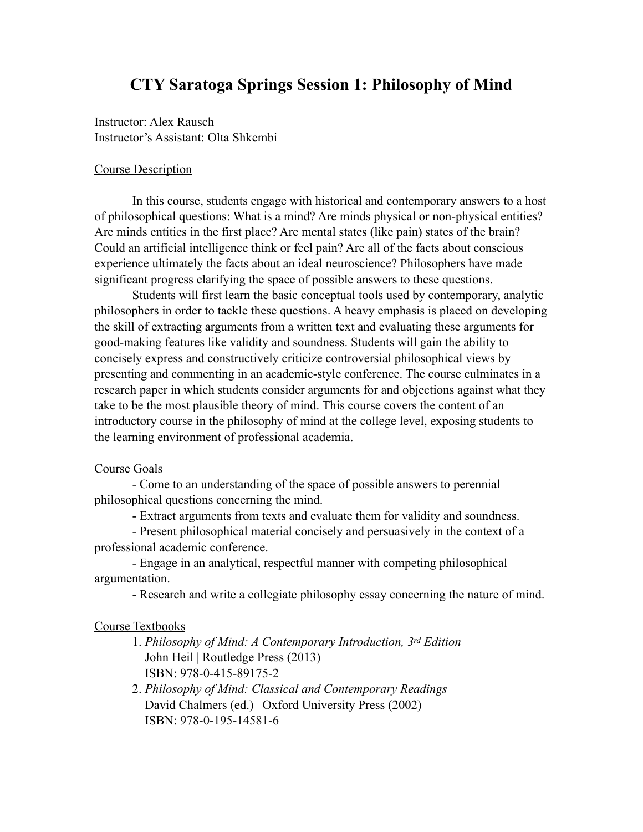# **CTY Saratoga Springs Session 1: Philosophy of Mind**

Instructor: Alex Rausch Instructor's Assistant: Olta Shkembi

#### Course Description

 In this course, students engage with historical and contemporary answers to a host of philosophical questions: What is a mind? Are minds physical or non-physical entities? Are minds entities in the first place? Are mental states (like pain) states of the brain? Could an artificial intelligence think or feel pain? Are all of the facts about conscious experience ultimately the facts about an ideal neuroscience? Philosophers have made significant progress clarifying the space of possible answers to these questions.

 Students will first learn the basic conceptual tools used by contemporary, analytic philosophers in order to tackle these questions. A heavy emphasis is placed on developing the skill of extracting arguments from a written text and evaluating these arguments for good-making features like validity and soundness. Students will gain the ability to concisely express and constructively criticize controversial philosophical views by presenting and commenting in an academic-style conference. The course culminates in a research paper in which students consider arguments for and objections against what they take to be the most plausible theory of mind. This course covers the content of an introductory course in the philosophy of mind at the college level, exposing students to the learning environment of professional academia.

#### Course Goals

 - Come to an understanding of the space of possible answers to perennial philosophical questions concerning the mind.

- Extract arguments from texts and evaluate them for validity and soundness.

 - Present philosophical material concisely and persuasively in the context of a professional academic conference.

 - Engage in an analytical, respectful manner with competing philosophical argumentation.

- Research and write a collegiate philosophy essay concerning the nature of mind.

### Course Textbooks

- 1. *Philosophy of Mind: A Contemporary Introduction, 3rd Edition* John Heil | Routledge Press (2013) ISBN: 978-0-415-89175-2
- 2. *Philosophy of Mind: Classical and Contemporary Readings* David Chalmers (ed.) | Oxford University Press (2002) ISBN: 978-0-195-14581-6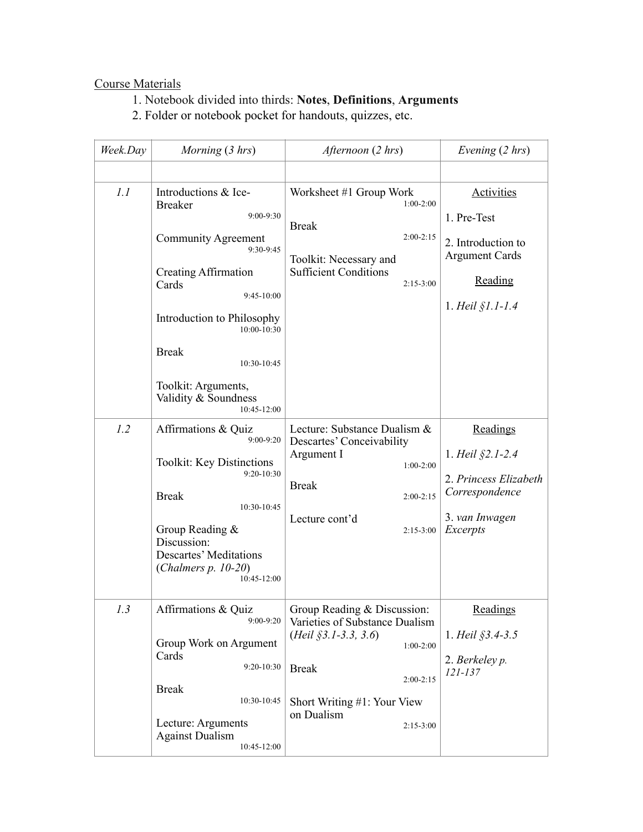## Course Materials

1. Notebook divided into thirds: **Notes**, **Definitions**, **Arguments**

2. Folder or notebook pocket for handouts, quizzes, etc.

| Week.Day | Morning (3 hrs)                                                                                                                                                                                                                                                                  | Afternoon (2 hrs)                                                                                                                                                                                  | Evening (2 hrs)                                                                                                         |
|----------|----------------------------------------------------------------------------------------------------------------------------------------------------------------------------------------------------------------------------------------------------------------------------------|----------------------------------------------------------------------------------------------------------------------------------------------------------------------------------------------------|-------------------------------------------------------------------------------------------------------------------------|
|          |                                                                                                                                                                                                                                                                                  |                                                                                                                                                                                                    |                                                                                                                         |
| 1.1      | Introductions & Ice-<br><b>Breaker</b><br>9:00-9:30<br>Community Agreement<br>9:30-9:45<br>Creating Affirmation<br>Cards<br>9:45-10:00<br>Introduction to Philosophy<br>10:00-10:30<br><b>Break</b><br>10:30-10:45<br>Toolkit: Arguments,<br>Validity & Soundness<br>10:45-12:00 | Worksheet #1 Group Work<br>$1:00-2:00$<br><b>Break</b><br>$2:00-2:15$<br>Toolkit: Necessary and<br><b>Sufficient Conditions</b><br>$2:15-3:00$                                                     | <b>Activities</b><br>1. Pre-Test<br>2. Introduction to<br><b>Argument Cards</b><br>Reading<br>1. <i>Heil</i> $$1.1-1.4$ |
| 1.2      | Affirmations & Quiz<br>9:00-9:20<br><b>Toolkit: Key Distinctions</b><br>9:20-10:30<br><b>Break</b><br>10:30-10:45<br>Group Reading &<br>Discussion:<br><b>Descartes' Meditations</b><br>(Chalmers $p. 10-20$ )<br>10:45-12:00                                                    | Lecture: Substance Dualism &<br>Descartes' Conceivability<br>Argument I<br>$1:00-2:00$<br><b>Break</b><br>$2:00-2:15$<br>Lecture cont'd<br>$2:15-3:00$                                             | Readings<br>1. Heil §2.1-2.4<br>2. Princess Elizabeth<br>Correspondence<br>3. van Inwagen<br>Excerpts                   |
| 1.3      | Affirmations & Quiz<br>$9:00-9:20$<br>Group Work on Argument<br>Cards<br>9:20-10:30<br><b>Break</b><br>10:30-10:45<br>Lecture: Arguments<br><b>Against Dualism</b><br>10:45-12:00                                                                                                | Group Reading & Discussion:<br>Varieties of Substance Dualism<br>$(Heil \S3.1-3.3, 3.6)$<br>$1:00-2:00$<br><b>Break</b><br>$2:00-2:15$<br>Short Writing #1: Your View<br>on Dualism<br>$2:15-3:00$ | Readings<br>1. Heil §3.4-3.5<br>2. Berkeley p.<br>$121 - 137$                                                           |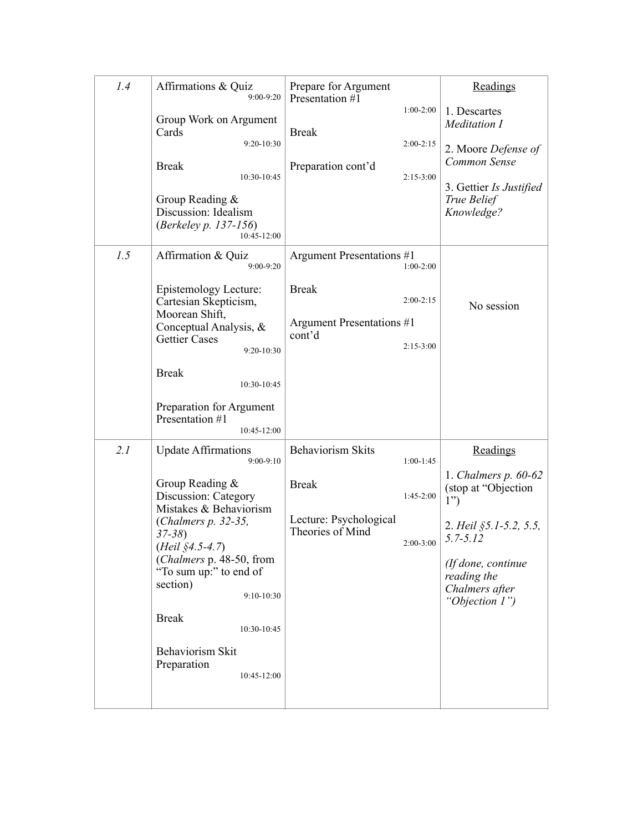| 1.4 | Affirmations & Quiz<br>9:00-9:20                                                   | Prepare for Argument<br>Presentation #1                   | Readings                                                              |
|-----|------------------------------------------------------------------------------------|-----------------------------------------------------------|-----------------------------------------------------------------------|
|     | Group Work on Argument<br>Cards<br>9:20-10:30                                      | $1:00-2:00$<br><b>Break</b><br>$2:00-2:15$                | 1. Descartes<br>Meditation I<br>2. Moore Defense of                   |
|     | <b>Break</b><br>10:30-10:45                                                        | Preparation cont'd<br>$2:15-3:00$                         | Common Sense                                                          |
|     | Group Reading $\&$<br>Discussion: Idealism<br>(Berkeley p. 137-156)<br>10:45-12:00 |                                                           | 3. Gettier Is Justified<br>True Belief<br>Knowledge?                  |
| 1.5 | Affirmation & Quiz<br>9:00-9:20                                                    | Argument Presentations #1<br>$1:00-2:00$                  |                                                                       |
|     | Epistemology Lecture:<br>Cartesian Skepticism,<br>Moorean Shift,                   | <b>Break</b><br>$2:00-2:15$<br>Argument Presentations #1  | No session                                                            |
|     | Conceptual Analysis, &<br><b>Gettier Cases</b><br>9:20-10:30                       | cont'd<br>$2:15-3:00$                                     |                                                                       |
|     | <b>Break</b><br>10:30-10:45                                                        |                                                           |                                                                       |
|     | Preparation for Argument<br>Presentation #1<br>$10:45-12:00$                       |                                                           |                                                                       |
| 2.1 | <b>Update Affirmations</b><br>$9:00-9:10$                                          | <b>Behaviorism Skits</b><br>$1:00-1:45$                   | Readings                                                              |
|     | Group Reading $\&$<br>Discussion: Category<br>Mistakes & Behaviorism               | <b>Break</b><br>$1:45-2:00$                               | 1. Chalmers $p. 60-62$<br>(stop at "Objection<br>1")                  |
|     | (Chalmers p. 32-35,<br>$37 - 38$<br>$(Heil \, $4.5-4.7)$                           | Lecture: Psychological<br>Theories of Mind<br>$2:00-3:00$ | 2. Heil §5.1-5.2, 5.5,<br>$5.7 - 5.12$                                |
|     | (Chalmers p. 48-50, from<br>"To sum up:" to end of<br>section)<br>$9:10-10:30$     |                                                           | (If done, continue<br>reading the<br>Chalmers after<br>"Objection 1") |
|     | <b>Break</b><br>10:30-10:45                                                        |                                                           |                                                                       |
|     | Behaviorism Skit<br>Preparation<br>10:45-12:00                                     |                                                           |                                                                       |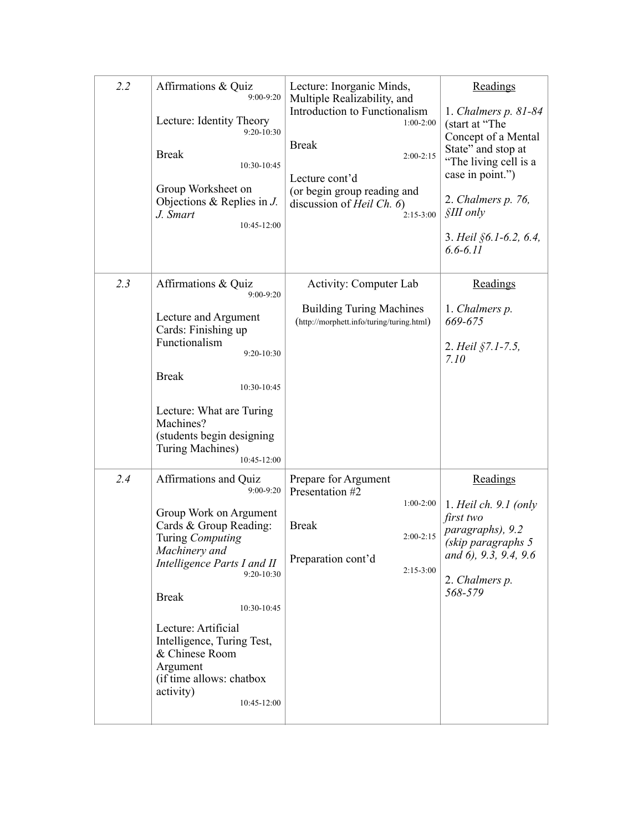| 2.2 | Affirmations & Quiz<br>$9:00 - 9:20$<br>Lecture: Identity Theory<br>9:20-10:30<br><b>Break</b><br>10:30-10:45<br>Group Worksheet on<br>Objections & Replies in $J$ .<br>J. Smart<br>10:45-12:00                                                                                                                                                     | Lecture: Inorganic Minds,<br>Multiple Realizability, and<br>Introduction to Functionalism<br>$1:00-2:00$<br><b>Break</b><br>$2:00-2:15$<br>Lecture cont'd<br>(or begin group reading and<br>discussion of <i>Heil Ch.</i> $6)$<br>$2:15-3:00$ | Readings<br>1. Chalmers $p. 81-84$<br>(start at "The<br>Concept of a Mental<br>State" and stop at<br>"The living cell is a<br>case in point.")<br>2. Chalmers p. 76,<br>$$III$ only<br>3. Heil $§6.1-6.2, 6.4,$<br>$6.6 - 6.11$ |
|-----|-----------------------------------------------------------------------------------------------------------------------------------------------------------------------------------------------------------------------------------------------------------------------------------------------------------------------------------------------------|-----------------------------------------------------------------------------------------------------------------------------------------------------------------------------------------------------------------------------------------------|---------------------------------------------------------------------------------------------------------------------------------------------------------------------------------------------------------------------------------|
| 2.3 | Affirmations & Quiz<br>$9:00 - 9:20$<br>Lecture and Argument<br>Cards: Finishing up<br>Functionalism<br>9:20-10:30<br><b>Break</b><br>10:30-10:45<br>Lecture: What are Turing<br>Machines?<br>(students begin designing<br>Turing Machines)<br>$10:45-12:00$                                                                                        | Activity: Computer Lab<br><b>Building Turing Machines</b><br>(http://morphett.info/turing/turing.html)                                                                                                                                        | Readings<br>1. Chalmers p.<br>669-675<br>2. Heil §7.1-7.5,<br>7.10                                                                                                                                                              |
| 2.4 | Affirmations and Quiz<br>9:00-9:20<br>Group Work on Argument<br>Cards & Group Reading:<br>Turing Computing<br>Machinery and<br>Intelligence Parts I and II<br>9:20-10:30<br><b>Break</b><br>10:30-10:45<br>Lecture: Artificial<br>Intelligence, Turing Test,<br>& Chinese Room<br>Argument<br>(if time allows: chatbox)<br>activity)<br>10:45-12:00 | Prepare for Argument<br>Presentation #2<br>$1:00-2:00$<br><b>Break</b><br>$2:00 - 2:15$<br>Preparation cont'd<br>$2:15-3:00$                                                                                                                  | Readings<br>1. Heil ch. $9.1$ (only<br>first two<br>paragraphs), 9.2<br>(skip paragraphs 5<br>and 6), 9.3, 9.4, 9.6<br>2. Chalmers p.<br>568-579                                                                                |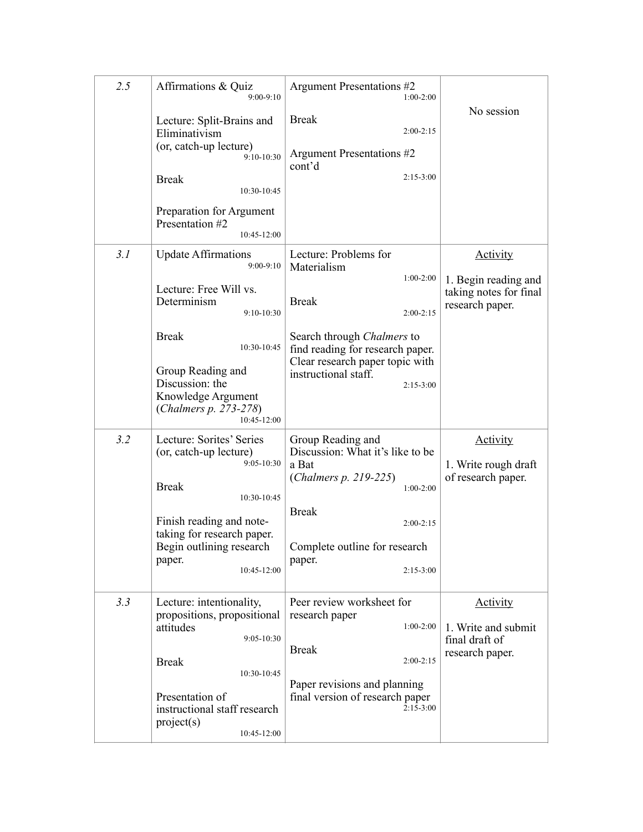| 2.5 | Affirmations & Quiz<br>$9:00-9:10$<br>Lecture: Split-Brains and<br>Eliminativism<br>(or, catch-up lecture)<br>9:10-10:30<br><b>Break</b><br>10:30-10:45<br>Preparation for Argument<br>Presentation #2<br>$10:45-12:00$                     | Argument Presentations #2<br>$1:00-2:00$<br><b>Break</b><br>$2:00-2:15$<br>Argument Presentations #2<br>cont'd<br>$2:15-3:00$                                                                                                    | No session                                                                           |
|-----|---------------------------------------------------------------------------------------------------------------------------------------------------------------------------------------------------------------------------------------------|----------------------------------------------------------------------------------------------------------------------------------------------------------------------------------------------------------------------------------|--------------------------------------------------------------------------------------|
| 3.1 | <b>Update Affirmations</b><br>$9:00-9:10$<br>Lecture: Free Will vs.<br>Determinism<br>$9:10-10:30$<br><b>Break</b><br>10:30-10:45<br>Group Reading and<br>Discussion: the<br>Knowledge Argument<br>(Chalmers p. 273-278)<br>$10:45 - 12:00$ | Lecture: Problems for<br>Materialism<br>$1:00-2:00$<br><b>Break</b><br>$2:00 - 2:15$<br>Search through Chalmers to<br>find reading for research paper.<br>Clear research paper topic with<br>instructional staff.<br>$2:15-3:00$ | <b>Activity</b><br>1. Begin reading and<br>taking notes for final<br>research paper. |
| 3.2 | Lecture: Sorites' Series<br>(or, catch-up lecture)<br>$9:05 - 10:30$<br><b>Break</b><br>10:30-10:45<br>Finish reading and note-<br>taking for research paper.<br>Begin outlining research<br>paper.<br>10:45-12:00                          | Group Reading and<br>Discussion: What it's like to be<br>a Bat<br>( <i>Chalmers p. 219-225</i> )<br>$1:00-2:00$<br><b>Break</b><br>$2:00-2:15$<br>Complete outline for research<br>paper.<br>$2:15-3:00$                         | <b>Activity</b><br>1. Write rough draft<br>of research paper.                        |
| 3.3 | Lecture: intentionality,<br>propositions, propositional<br>attitudes<br>9:05-10:30<br><b>Break</b><br>10:30-10:45<br>Presentation of<br>instructional staff research<br>project(s)<br>$10:45 - 12:00$                                       | Peer review worksheet for<br>research paper<br>$1:00-2:00$<br><b>Break</b><br>$2:00-2:15$<br>Paper revisions and planning<br>final version of research paper<br>$2:15-3:00$                                                      | <b>Activity</b><br>1. Write and submit<br>final draft of<br>research paper.          |